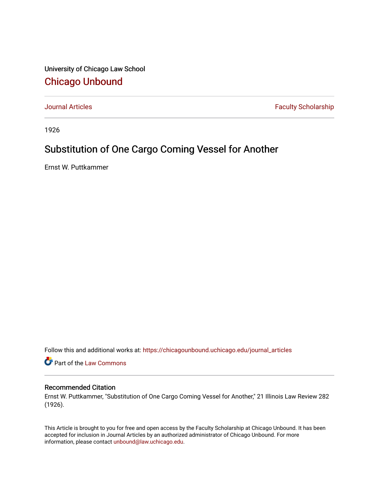University of Chicago Law School [Chicago Unbound](https://chicagounbound.uchicago.edu/)

[Journal Articles](https://chicagounbound.uchicago.edu/journal_articles) **Faculty Scholarship Faculty Scholarship** 

1926

## Substitution of One Cargo Coming Vessel for Another

Ernst W. Puttkammer

Follow this and additional works at: [https://chicagounbound.uchicago.edu/journal\\_articles](https://chicagounbound.uchicago.edu/journal_articles?utm_source=chicagounbound.uchicago.edu%2Fjournal_articles%2F9412&utm_medium=PDF&utm_campaign=PDFCoverPages) 

Part of the [Law Commons](http://network.bepress.com/hgg/discipline/578?utm_source=chicagounbound.uchicago.edu%2Fjournal_articles%2F9412&utm_medium=PDF&utm_campaign=PDFCoverPages)

## Recommended Citation

Ernst W. Puttkammer, "Substitution of One Cargo Coming Vessel for Another," 21 Illinois Law Review 282 (1926).

This Article is brought to you for free and open access by the Faculty Scholarship at Chicago Unbound. It has been accepted for inclusion in Journal Articles by an authorized administrator of Chicago Unbound. For more information, please contact [unbound@law.uchicago.edu](mailto:unbound@law.uchicago.edu).